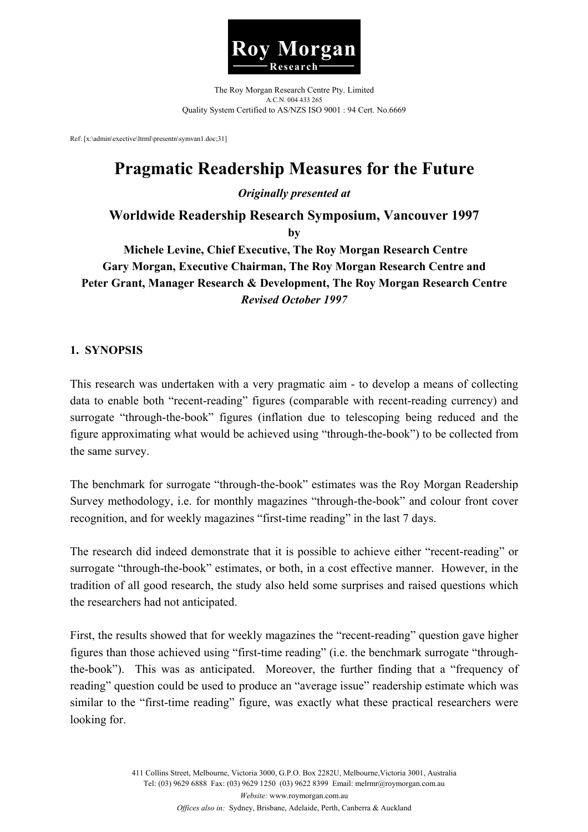

The Roy Morgan Research Centre Pty. Limited A.C.N. 004 433 265 Quality System Certified to AS/NZS ISO 9001 : 94 Cert. No.6669

Ref: [x:\admin\exective\ltrml\presentn\symvan1.doc;31]

# **Pragmatic Readership Measures for the Future**

*Originally presented at* 

**Worldwide Readership Research Symposium, Vancouver 1997** 

**by** 

 **Michele Levine, Chief Executive, The Roy Morgan Research Centre Gary Morgan, Executive Chairman, The Roy Morgan Research Centre and Peter Grant, Manager Research & Development, The Roy Morgan Research Centre**  *Revised October 1997* 

### **1. SYNOPSIS**

This research was undertaken with a very pragmatic aim - to develop a means of collecting data to enable both "recent-reading" figures (comparable with recent-reading currency) and surrogate "through-the-book" figures (inflation due to telescoping being reduced and the figure approximating what would be achieved using "through-the-book") to be collected from the same survey.

The benchmark for surrogate "through-the-book" estimates was the Roy Morgan Readership Survey methodology, i.e. for monthly magazines "through-the-book" and colour front cover recognition, and for weekly magazines "first-time reading" in the last 7 days.

The research did indeed demonstrate that it is possible to achieve either "recent-reading" or surrogate "through-the-book" estimates, or both, in a cost effective manner. However, in the tradition of all good research, the study also held some surprises and raised questions which the researchers had not anticipated.

First, the results showed that for weekly magazines the "recent-reading" question gave higher figures than those achieved using "first-time reading" (i.e. the benchmark surrogate "throughthe-book"). This was as anticipated. Moreover, the further finding that a "frequency of reading" question could be used to produce an "average issue" readership estimate which was similar to the "first-time reading" figure, was exactly what these practical researchers were looking for.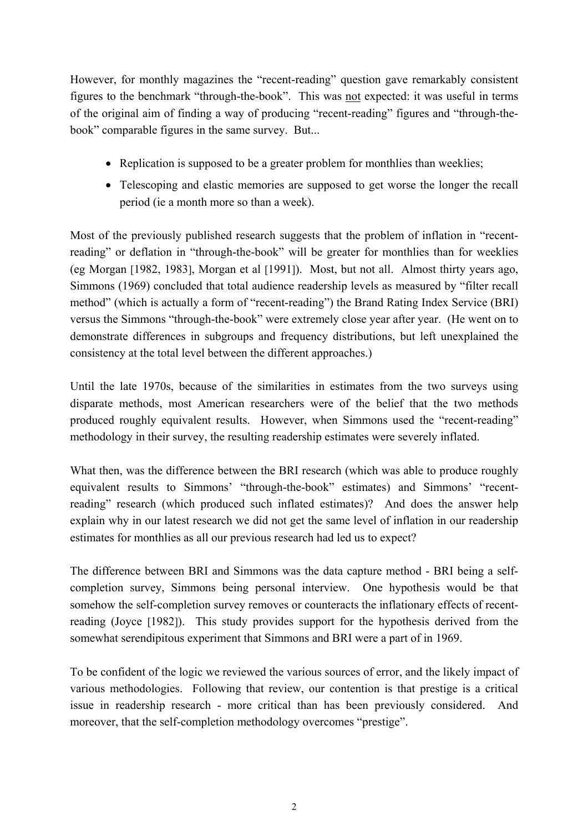However, for monthly magazines the "recent-reading" question gave remarkably consistent figures to the benchmark "through-the-book". This was not expected: it was useful in terms of the original aim of finding a way of producing "recent-reading" figures and "through-thebook" comparable figures in the same survey. But...

- Replication is supposed to be a greater problem for monthlies than weeklies;
- Telescoping and elastic memories are supposed to get worse the longer the recall period (ie a month more so than a week).

Most of the previously published research suggests that the problem of inflation in "recentreading" or deflation in "through-the-book" will be greater for monthlies than for weeklies (eg Morgan [1982, 1983], Morgan et al [1991]). Most, but not all. Almost thirty years ago, Simmons (1969) concluded that total audience readership levels as measured by "filter recall method" (which is actually a form of "recent-reading") the Brand Rating Index Service (BRI) versus the Simmons "through-the-book" were extremely close year after year. (He went on to demonstrate differences in subgroups and frequency distributions, but left unexplained the consistency at the total level between the different approaches.)

Until the late 1970s, because of the similarities in estimates from the two surveys using disparate methods, most American researchers were of the belief that the two methods produced roughly equivalent results. However, when Simmons used the "recent-reading" methodology in their survey, the resulting readership estimates were severely inflated.

What then, was the difference between the BRI research (which was able to produce roughly equivalent results to Simmons' "through-the-book" estimates) and Simmons' "recentreading" research (which produced such inflated estimates)? And does the answer help explain why in our latest research we did not get the same level of inflation in our readership estimates for monthlies as all our previous research had led us to expect?

The difference between BRI and Simmons was the data capture method - BRI being a selfcompletion survey, Simmons being personal interview. One hypothesis would be that somehow the self-completion survey removes or counteracts the inflationary effects of recentreading (Joyce [1982]). This study provides support for the hypothesis derived from the somewhat serendipitous experiment that Simmons and BRI were a part of in 1969.

To be confident of the logic we reviewed the various sources of error, and the likely impact of various methodologies. Following that review, our contention is that prestige is a critical issue in readership research - more critical than has been previously considered. And moreover, that the self-completion methodology overcomes "prestige".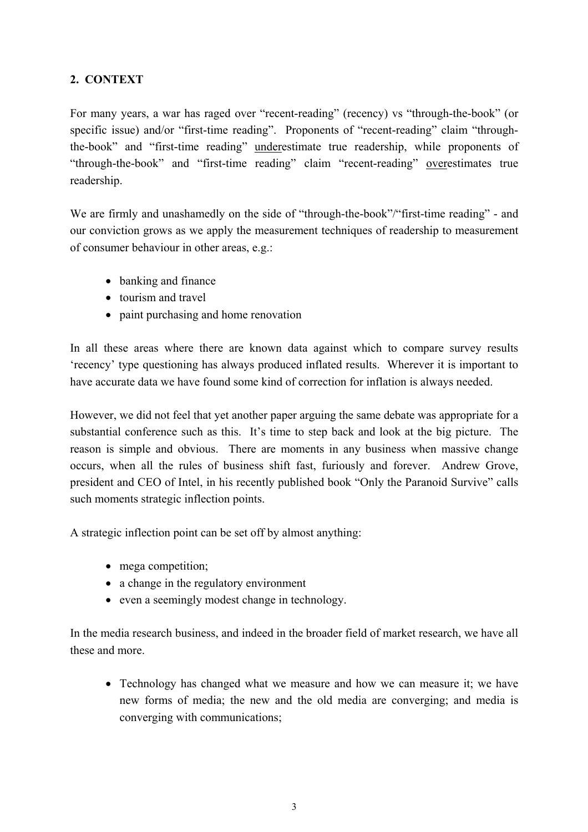### **2. CONTEXT**

For many years, a war has raged over "recent-reading" (recency) vs "through-the-book" (or specific issue) and/or "first-time reading". Proponents of "recent-reading" claim "throughthe-book" and "first-time reading" underestimate true readership, while proponents of "through-the-book" and "first-time reading" claim "recent-reading" overestimates true readership.

We are firmly and unashamedly on the side of "through-the-book"/"first-time reading" - and our conviction grows as we apply the measurement techniques of readership to measurement of consumer behaviour in other areas, e.g.:

- banking and finance
- tourism and travel
- paint purchasing and home renovation

In all these areas where there are known data against which to compare survey results 'recency' type questioning has always produced inflated results. Wherever it is important to have accurate data we have found some kind of correction for inflation is always needed.

However, we did not feel that yet another paper arguing the same debate was appropriate for a substantial conference such as this. It's time to step back and look at the big picture. The reason is simple and obvious. There are moments in any business when massive change occurs, when all the rules of business shift fast, furiously and forever. Andrew Grove, president and CEO of Intel, in his recently published book "Only the Paranoid Survive" calls such moments strategic inflection points.

A strategic inflection point can be set off by almost anything:

- mega competition;
- a change in the regulatory environment
- even a seemingly modest change in technology.

In the media research business, and indeed in the broader field of market research, we have all these and more.

• Technology has changed what we measure and how we can measure it; we have new forms of media; the new and the old media are converging; and media is converging with communications;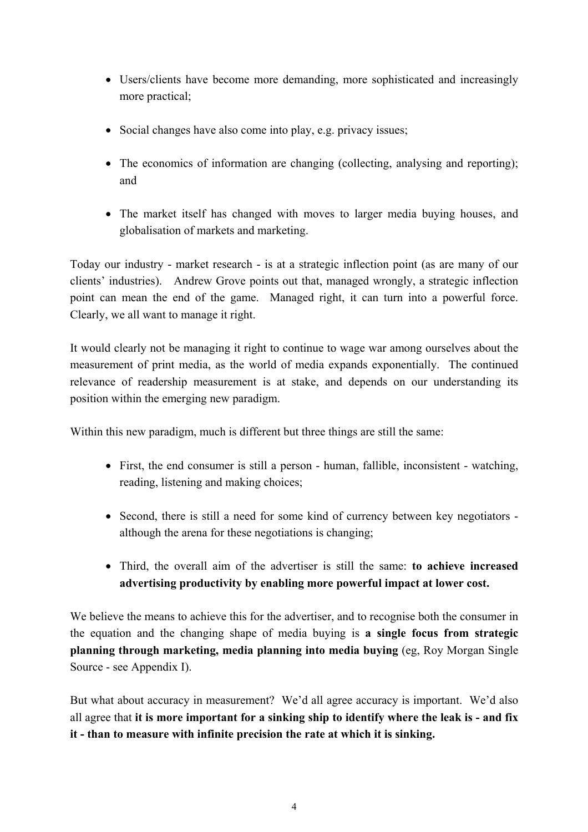- Users/clients have become more demanding, more sophisticated and increasingly more practical;
- Social changes have also come into play, e.g. privacy issues;
- The economics of information are changing (collecting, analysing and reporting); and
- The market itself has changed with moves to larger media buying houses, and globalisation of markets and marketing.

Today our industry - market research - is at a strategic inflection point (as are many of our clients' industries). Andrew Grove points out that, managed wrongly, a strategic inflection point can mean the end of the game. Managed right, it can turn into a powerful force. Clearly, we all want to manage it right.

It would clearly not be managing it right to continue to wage war among ourselves about the measurement of print media, as the world of media expands exponentially. The continued relevance of readership measurement is at stake, and depends on our understanding its position within the emerging new paradigm.

Within this new paradigm, much is different but three things are still the same:

- First, the end consumer is still a person human, fallible, inconsistent watching, reading, listening and making choices;
- Second, there is still a need for some kind of currency between key negotiators although the arena for these negotiations is changing;
- Third, the overall aim of the advertiser is still the same: **to achieve increased advertising productivity by enabling more powerful impact at lower cost.**

We believe the means to achieve this for the advertiser, and to recognise both the consumer in the equation and the changing shape of media buying is **a single focus from strategic planning through marketing, media planning into media buying** (eg, Roy Morgan Single Source - see Appendix I).

But what about accuracy in measurement? We'd all agree accuracy is important. We'd also all agree that **it is more important for a sinking ship to identify where the leak is - and fix it - than to measure with infinite precision the rate at which it is sinking.**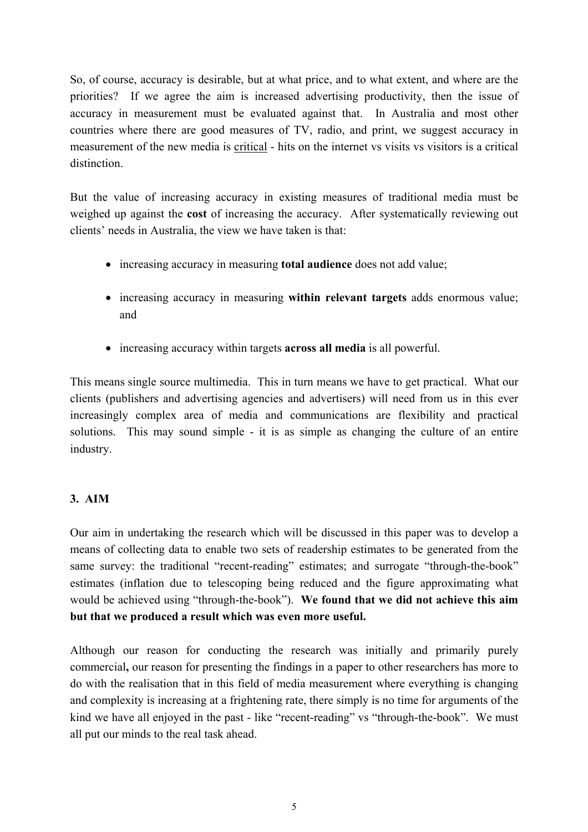So, of course, accuracy is desirable, but at what price, and to what extent, and where are the priorities? If we agree the aim is increased advertising productivity, then the issue of accuracy in measurement must be evaluated against that. In Australia and most other countries where there are good measures of TV, radio, and print, we suggest accuracy in measurement of the new media is critical - hits on the internet vs visits vs visitors is a critical distinction.

But the value of increasing accuracy in existing measures of traditional media must be weighed up against the **cost** of increasing the accuracy. After systematically reviewing out clients' needs in Australia, the view we have taken is that:

- increasing accuracy in measuring **total audience** does not add value;
- increasing accuracy in measuring **within relevant targets** adds enormous value; and
- increasing accuracy within targets **across all media** is all powerful.

This means single source multimedia. This in turn means we have to get practical. What our clients (publishers and advertising agencies and advertisers) will need from us in this ever increasingly complex area of media and communications are flexibility and practical solutions. This may sound simple - it is as simple as changing the culture of an entire industry.

### **3. AIM**

Our aim in undertaking the research which will be discussed in this paper was to develop a means of collecting data to enable two sets of readership estimates to be generated from the same survey: the traditional "recent-reading" estimates; and surrogate "through-the-book" estimates (inflation due to telescoping being reduced and the figure approximating what would be achieved using "through-the-book"). **We found that we did not achieve this aim but that we produced a result which was even more useful.** 

Although our reason for conducting the research was initially and primarily purely commercial**,** our reason for presenting the findings in a paper to other researchers has more to do with the realisation that in this field of media measurement where everything is changing and complexity is increasing at a frightening rate, there simply is no time for arguments of the kind we have all enjoyed in the past - like "recent-reading" vs "through-the-book". We must all put our minds to the real task ahead.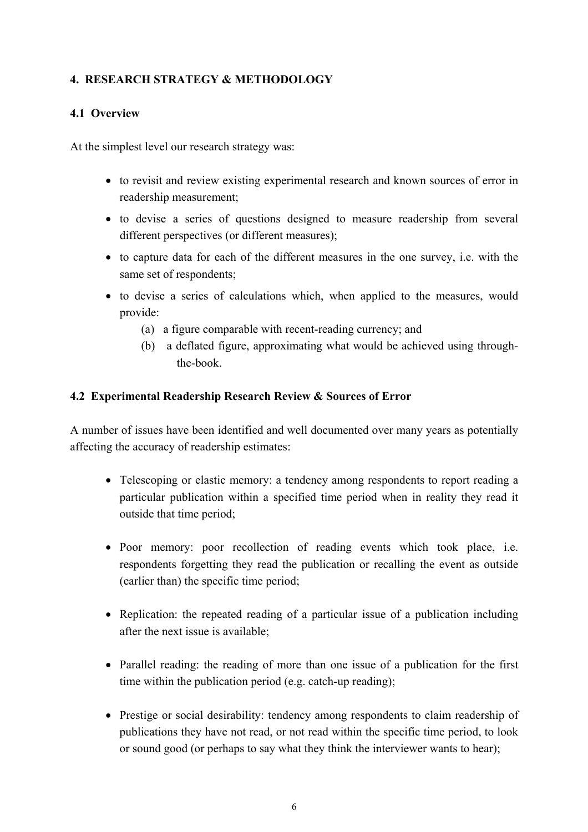### **4. RESEARCH STRATEGY & METHODOLOGY**

### **4.1 Overview**

At the simplest level our research strategy was:

- to revisit and review existing experimental research and known sources of error in readership measurement;
- to devise a series of questions designed to measure readership from several different perspectives (or different measures);
- to capture data for each of the different measures in the one survey, i.e. with the same set of respondents;
- to devise a series of calculations which, when applied to the measures, would provide:
	- (a) a figure comparable with recent-reading currency; and
	- (b) a deflated figure, approximating what would be achieved using through the-book.

#### **4.2 Experimental Readership Research Review & Sources of Error**

A number of issues have been identified and well documented over many years as potentially affecting the accuracy of readership estimates:

- Telescoping or elastic memory: a tendency among respondents to report reading a particular publication within a specified time period when in reality they read it outside that time period;
- Poor memory: poor recollection of reading events which took place, i.e. respondents forgetting they read the publication or recalling the event as outside (earlier than) the specific time period;
- Replication: the repeated reading of a particular issue of a publication including after the next issue is available;
- Parallel reading: the reading of more than one issue of a publication for the first time within the publication period (e.g. catch-up reading);
- Prestige or social desirability: tendency among respondents to claim readership of publications they have not read, or not read within the specific time period, to look or sound good (or perhaps to say what they think the interviewer wants to hear);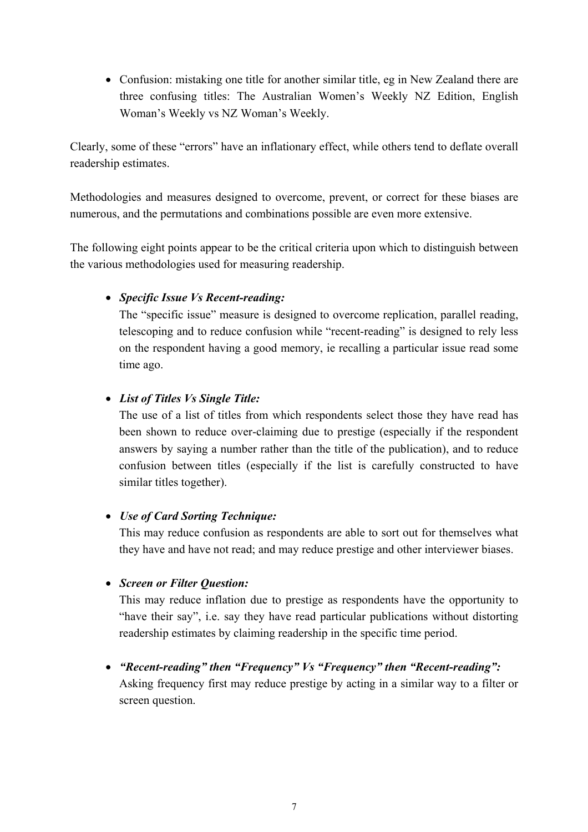• Confusion: mistaking one title for another similar title, eg in New Zealand there are three confusing titles: The Australian Women's Weekly NZ Edition, English Woman's Weekly vs NZ Woman's Weekly.

Clearly, some of these "errors" have an inflationary effect, while others tend to deflate overall readership estimates.

Methodologies and measures designed to overcome, prevent, or correct for these biases are numerous, and the permutations and combinations possible are even more extensive.

The following eight points appear to be the critical criteria upon which to distinguish between the various methodologies used for measuring readership.

### • *Specific Issue Vs Recent-reading:*

The "specific issue" measure is designed to overcome replication, parallel reading, telescoping and to reduce confusion while "recent-reading" is designed to rely less on the respondent having a good memory, ie recalling a particular issue read some time ago.

### • *List of Titles Vs Single Title:*

The use of a list of titles from which respondents select those they have read has been shown to reduce over-claiming due to prestige (especially if the respondent answers by saying a number rather than the title of the publication), and to reduce confusion between titles (especially if the list is carefully constructed to have similar titles together).

# • *Use of Card Sorting Technique:*

This may reduce confusion as respondents are able to sort out for themselves what they have and have not read; and may reduce prestige and other interviewer biases.

### • *Screen or Filter Question:*

This may reduce inflation due to prestige as respondents have the opportunity to "have their say", i.e. say they have read particular publications without distorting readership estimates by claiming readership in the specific time period.

• *"Recent-reading" then "Frequency" Vs "Frequency" then "Recent-reading":* 

Asking frequency first may reduce prestige by acting in a similar way to a filter or screen question.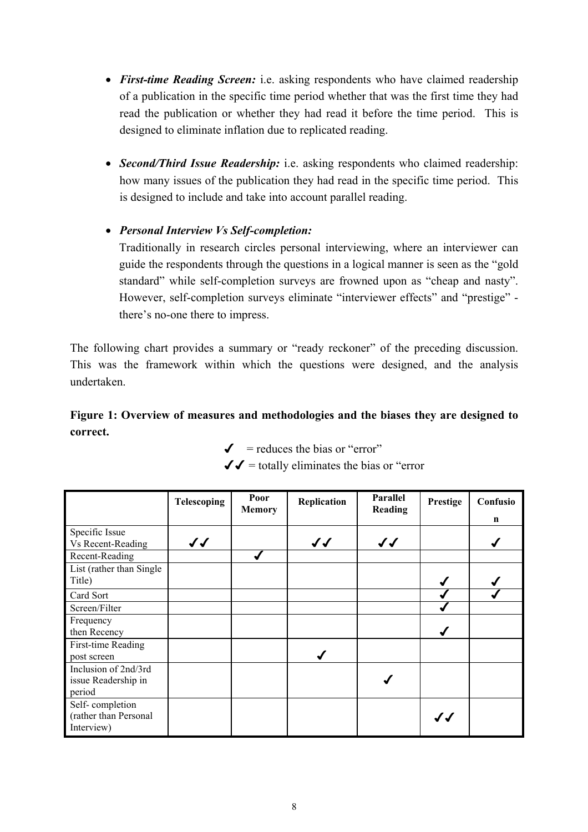- *First-time Reading Screen:* i.e. asking respondents who have claimed readership of a publication in the specific time period whether that was the first time they had read the publication or whether they had read it before the time period. This is designed to eliminate inflation due to replicated reading.
- *Second/Third Issue Readership:* i.e. asking respondents who claimed readership: how many issues of the publication they had read in the specific time period. This is designed to include and take into account parallel reading.

# • *Personal Interview Vs Self-completion:*

Traditionally in research circles personal interviewing, where an interviewer can guide the respondents through the questions in a logical manner is seen as the "gold standard" while self-completion surveys are frowned upon as "cheap and nasty". However, self-completion surveys eliminate "interviewer effects" and "prestige" there's no-one there to impress.

The following chart provides a summary or "ready reckoner" of the preceding discussion. This was the framework within which the questions were designed, and the analysis undertaken.

# **Figure 1: Overview of measures and methodologies and the biases they are designed to correct.**

 $\checkmark$  = reduces the bias or "error"

 $\mathcal{J} =$  totally eliminates the bias or "error"

|                                                        | <b>Telescoping</b> | Poor<br><b>Memory</b> | Replication  | Parallel<br>Reading | Prestige | Confusio<br>n |
|--------------------------------------------------------|--------------------|-----------------------|--------------|---------------------|----------|---------------|
| Specific Issue<br>Vs Recent-Reading                    | $\checkmark$       |                       | $\checkmark$ | $\checkmark$        |          |               |
| Recent-Reading                                         |                    |                       |              |                     |          |               |
| List (rather than Single<br>Title)                     |                    |                       |              |                     |          |               |
| Card Sort                                              |                    |                       |              |                     |          |               |
| Screen/Filter                                          |                    |                       |              |                     |          |               |
| Frequency<br>then Recency                              |                    |                       |              |                     |          |               |
| First-time Reading<br>post screen                      |                    |                       |              |                     |          |               |
| Inclusion of 2nd/3rd<br>issue Readership in<br>period  |                    |                       |              |                     |          |               |
| Self-completion<br>(rather than Personal<br>Interview) |                    |                       |              |                     | JJ       |               |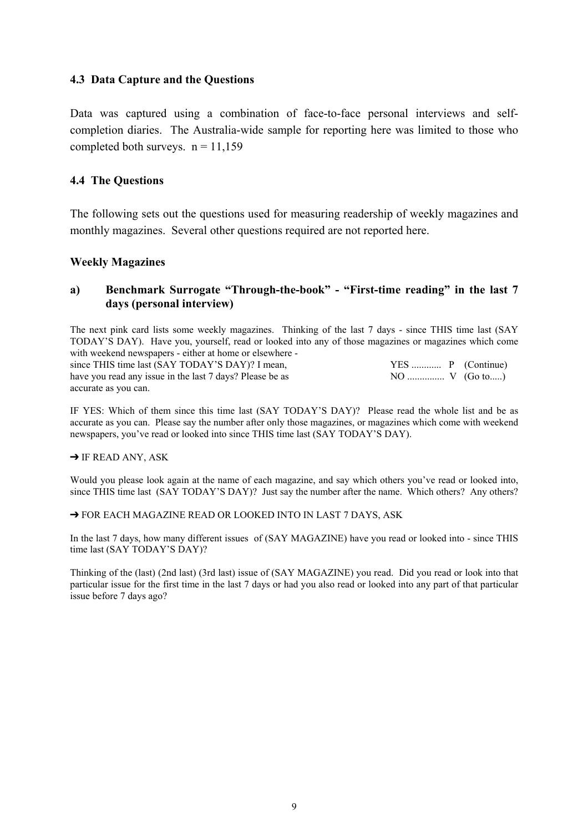#### **4.3 Data Capture and the Questions**

Data was captured using a combination of face-to-face personal interviews and selfcompletion diaries. The Australia-wide sample for reporting here was limited to those who completed both surveys.  $n = 11.159$ 

#### **4.4 The Questions**

The following sets out the questions used for measuring readership of weekly magazines and monthly magazines. Several other questions required are not reported here.

#### **Weekly Magazines**

### **a) Benchmark Surrogate "Through-the-book" - "First-time reading" in the last 7 days (personal interview)**

The next pink card lists some weekly magazines. Thinking of the last 7 days - since THIS time last (SAY TODAY'S DAY). Have you, yourself, read or looked into any of those magazines or magazines which come with weekend newspapers - either at home or elsewhere -

since THIS time last (SAY TODAY'S DAY)? I mean, YES ............ P (Continue) have you read any issue in the last 7 days? Please be as accurate as you can.

IF YES: Which of them since this time last (SAY TODAY'S DAY)? Please read the whole list and be as accurate as you can. Please say the number after only those magazines, or magazines which come with weekend newspapers, you've read or looked into since THIS time last (SAY TODAY'S DAY).

#### $\rightarrow$  IF READ ANY, ASK

Would you please look again at the name of each magazine, and say which others you've read or looked into, since THIS time last (SAY TODAY'S DAY)? Just say the number after the name. Which others? Any others?

→ FOR EACH MAGAZINE READ OR LOOKED INTO IN LAST 7 DAYS, ASK

In the last 7 days, how many different issues of (SAY MAGAZINE) have you read or looked into - since THIS time last (SAY TODAY'S DAY)?

Thinking of the (last) (2nd last) (3rd last) issue of (SAY MAGAZINE) you read. Did you read or look into that particular issue for the first time in the last 7 days or had you also read or looked into any part of that particular issue before 7 days ago?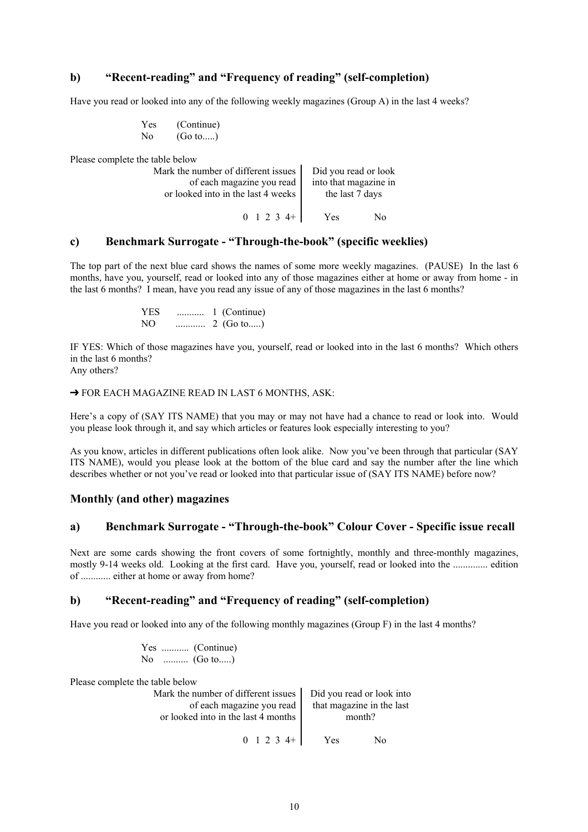#### **b) "Recent-reading" and "Frequency of reading" (self-completion)**

Have you read or looked into any of the following weekly magazines (Group A) in the last 4 weeks?

| <b>Yes</b> | (Continue) |
|------------|------------|
| No         | (Go to)    |

Please complete the table below

| Mark the number of different issues | Did you read or look  |  |
|-------------------------------------|-----------------------|--|
| of each magazine you read           | into that magazine in |  |
| or looked into in the last 4 weeks  | the last 7 days       |  |
| $0 \t1 \t2 \t3 \t4+$                | Yes<br>Nο             |  |

#### **c) Benchmark Surrogate - "Through-the-book" (specific weeklies)**

The top part of the next blue card shows the names of some more weekly magazines. (PAUSE) In the last 6 months, have you, yourself, read or looked into any of those magazines either at home or away from home - in the last 6 months? I mean, have you read any issue of any of those magazines in the last 6 months?

> YES ........... 1 (Continue) NO ............ 2 (Go to.....)

IF YES: Which of those magazines have you, yourself, read or looked into in the last 6 months? Which others in the last 6 months?

Any others?

#### → FOR EACH MAGAZINE READ IN LAST 6 MONTHS, ASK:

Here's a copy of (SAY ITS NAME) that you may or may not have had a chance to read or look into. Would you please look through it, and say which articles or features look especially interesting to you?

As you know, articles in different publications often look alike. Now you've been through that particular (SAY ITS NAME), would you please look at the bottom of the blue card and say the number after the line which describes whether or not you've read or looked into that particular issue of (SAY ITS NAME) before now?

#### **Monthly (and other) magazines**

#### **a) Benchmark Surrogate - "Through-the-book" Colour Cover - Specific issue recall**

Next are some cards showing the front covers of some fortnightly, monthly and three-monthly magazines, mostly 9-14 weeks old. Looking at the first card. Have you, yourself, read or looked into the .............. edition of ............ either at home or away from home?

#### **b) "Recent-reading" and "Frequency of reading" (self-completion)**

Have you read or looked into any of the following monthly magazines (Group F) in the last 4 months?

 Yes ........... (Continue) No .......... (Go to.....)

Please complete the table below

| Mark the number of different issues   Did you read or look into |                           |  |
|-----------------------------------------------------------------|---------------------------|--|
| of each magazine you read                                       | that magazine in the last |  |
| or looked into in the last 4 months                             | month?                    |  |
|                                                                 |                           |  |
| $0 \t1 \t2 \t3 \t4+$                                            | Yes<br>N٥                 |  |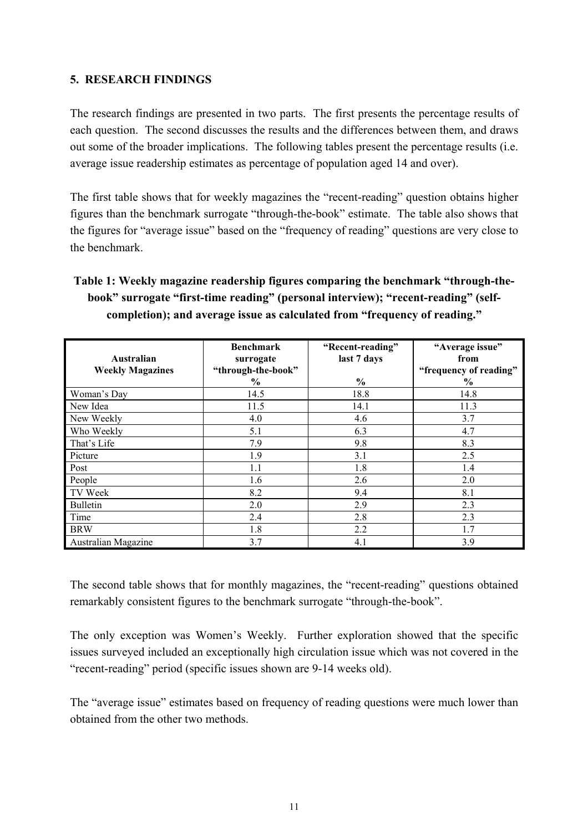### **5. RESEARCH FINDINGS**

The research findings are presented in two parts. The first presents the percentage results of each question. The second discusses the results and the differences between them, and draws out some of the broader implications. The following tables present the percentage results (i.e. average issue readership estimates as percentage of population aged 14 and over).

The first table shows that for weekly magazines the "recent-reading" question obtains higher figures than the benchmark surrogate "through-the-book" estimate. The table also shows that the figures for "average issue" based on the "frequency of reading" questions are very close to the benchmark.

# **Table 1: Weekly magazine readership figures comparing the benchmark "through-thebook" surrogate "first-time reading" (personal interview); "recent-reading" (selfcompletion); and average issue as calculated from "frequency of reading."**

| Australian                 | <b>Benchmark</b><br>surrogate       | "Recent-reading"<br>last 7 days | "Average issue"<br>from        |
|----------------------------|-------------------------------------|---------------------------------|--------------------------------|
| <b>Weekly Magazines</b>    | "through-the-book"<br>$\frac{6}{9}$ | $\frac{6}{9}$                   | "frequency of reading"<br>$\%$ |
| Woman's Day                | 14.5                                | 18.8                            | 14.8                           |
| New Idea                   | 11.5                                | 14.1                            | 11.3                           |
| New Weekly                 | 4.0                                 | 4.6                             | 3.7                            |
| Who Weekly                 | 5.1                                 | 6.3                             | 4.7                            |
| That's Life                | 7.9                                 | 9.8                             | 8.3                            |
| Picture                    | 1.9                                 | 3.1                             | 2.5                            |
| Post                       | 1.1                                 | 1.8                             | 1.4                            |
| People                     | 1.6                                 | 2.6                             | 2.0                            |
| TV Week                    | 8.2                                 | 9.4                             | 8.1                            |
| <b>Bulletin</b>            | 2.0                                 | 2.9                             | 2.3                            |
| Time                       | 2.4                                 | 2.8                             | 2.3                            |
| <b>BRW</b>                 | 1.8                                 | 2.2                             | 1.7                            |
| <b>Australian Magazine</b> | 3.7                                 | 4.1                             | 3.9                            |

The second table shows that for monthly magazines, the "recent-reading" questions obtained remarkably consistent figures to the benchmark surrogate "through-the-book".

The only exception was Women's Weekly. Further exploration showed that the specific issues surveyed included an exceptionally high circulation issue which was not covered in the "recent-reading" period (specific issues shown are 9-14 weeks old).

The "average issue" estimates based on frequency of reading questions were much lower than obtained from the other two methods.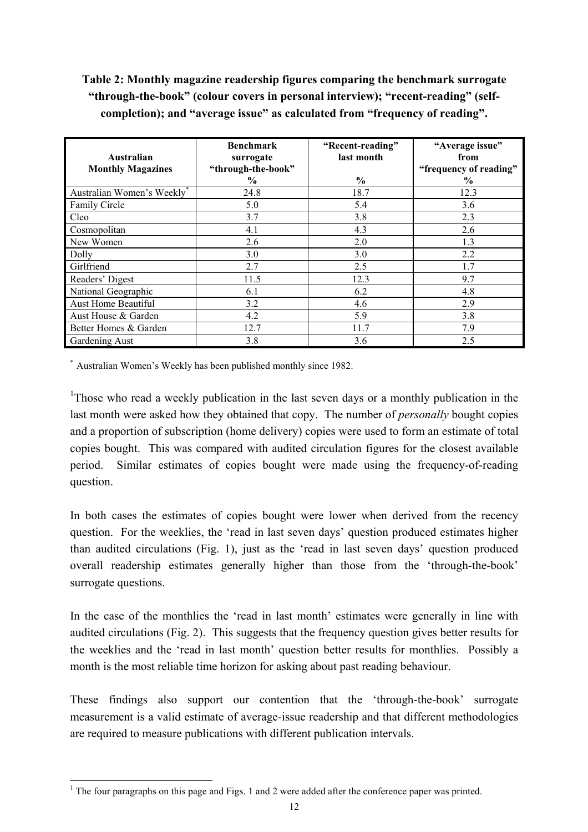# **Table 2: Monthly magazine readership figures comparing the benchmark surrogate "through-the-book" (colour covers in personal interview); "recent-reading" (selfcompletion); and "average issue" as calculated from "frequency of reading".**

| Australian<br><b>Monthly Magazines</b> | <b>Benchmark</b><br>surrogate<br>"through-the-book" | "Recent-reading"<br>last month | "Average issue"<br>from<br>"frequency of reading" |
|----------------------------------------|-----------------------------------------------------|--------------------------------|---------------------------------------------------|
|                                        | $\%$                                                | $\frac{6}{6}$                  | $\%$                                              |
| Australian Women's Weekly <sup>*</sup> | 24.8                                                | 18.7                           | 12.3                                              |
| Family Circle                          | 5.0                                                 | 5.4                            | 3.6                                               |
| Cleo                                   | 3.7                                                 | 3.8                            | 2.3                                               |
| Cosmopolitan                           | 4.1                                                 | 4.3                            | 2.6                                               |
| New Women                              | 2.6                                                 | 2.0                            | 1.3                                               |
| Dolly                                  | 3.0                                                 | 3.0                            | 2.2                                               |
| Girlfriend                             | 2.7                                                 | 2.5                            | 1.7                                               |
| Readers' Digest                        | 11.5                                                | 12.3                           | 9.7                                               |
| National Geographic                    | 6.1                                                 | 6.2                            | 4.8                                               |
| Aust Home Beautiful                    | 3.2                                                 | 4.6                            | 2.9                                               |
| Aust House & Garden                    | 4.2                                                 | 5.9                            | 3.8                                               |
| Better Homes & Garden                  | 12.7                                                | 11.7                           | 7.9                                               |
| Gardening Aust                         | 3.8                                                 | 3.6                            | 2.5                                               |

\* Australian Women's Weekly has been published monthly since 1982.

<sup>1</sup>Those who read a weekly publication in the last seven days or a monthly publication in the last month were asked how they obtained that copy. The number of *personally* bought copies and a proportion of subscription (home delivery) copies were used to form an estimate of total copies bought. This was compared with audited circulation figures for the closest available period. Similar estimates of copies bought were made using the frequency-of-reading question.

In both cases the estimates of copies bought were lower when derived from the recency question. For the weeklies, the 'read in last seven days' question produced estimates higher than audited circulations (Fig. 1), just as the 'read in last seven days' question produced overall readership estimates generally higher than those from the 'through-the-book' surrogate questions.

In the case of the monthlies the 'read in last month' estimates were generally in line with audited circulations (Fig. 2). This suggests that the frequency question gives better results for the weeklies and the 'read in last month' question better results for monthlies. Possibly a month is the most reliable time horizon for asking about past reading behaviour.

These findings also support our contention that the 'through-the-book' surrogate measurement is a valid estimate of average-issue readership and that different methodologies are required to measure publications with different publication intervals.

<sup>&</sup>lt;sup>1</sup> The four paragraphs on this page and Figs. 1 and 2 were added after the conference paper was printed.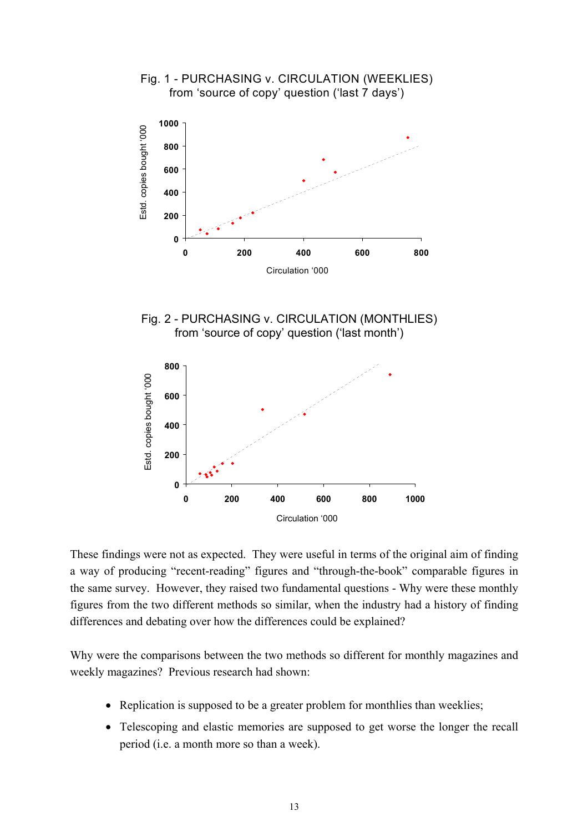

These findings were not as expected. They were useful in terms of the original aim of finding a way of producing "recent-reading" figures and "through-the-book" comparable figures in the same survey. However, they raised two fundamental questions - Why were these monthly figures from the two different methods so similar, when the industry had a history of finding differences and debating over how the differences could be explained?

Why were the comparisons between the two methods so different for monthly magazines and weekly magazines? Previous research had shown:

- Replication is supposed to be a greater problem for monthlies than weeklies;
- Telescoping and elastic memories are supposed to get worse the longer the recall period (i.e. a month more so than a week).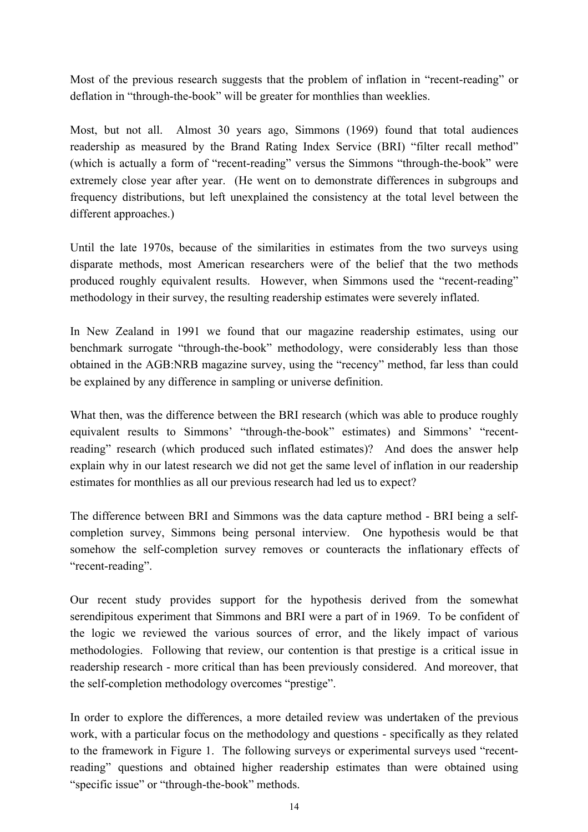Most of the previous research suggests that the problem of inflation in "recent-reading" or deflation in "through-the-book" will be greater for monthlies than weeklies.

Most, but not all. Almost 30 years ago, Simmons (1969) found that total audiences readership as measured by the Brand Rating Index Service (BRI) "filter recall method" (which is actually a form of "recent-reading" versus the Simmons "through-the-book" were extremely close year after year. (He went on to demonstrate differences in subgroups and frequency distributions, but left unexplained the consistency at the total level between the different approaches.)

Until the late 1970s, because of the similarities in estimates from the two surveys using disparate methods, most American researchers were of the belief that the two methods produced roughly equivalent results. However, when Simmons used the "recent-reading" methodology in their survey, the resulting readership estimates were severely inflated.

In New Zealand in 1991 we found that our magazine readership estimates, using our benchmark surrogate "through-the-book" methodology, were considerably less than those obtained in the AGB:NRB magazine survey, using the "recency" method, far less than could be explained by any difference in sampling or universe definition.

What then, was the difference between the BRI research (which was able to produce roughly equivalent results to Simmons' "through-the-book" estimates) and Simmons' "recentreading" research (which produced such inflated estimates)? And does the answer help explain why in our latest research we did not get the same level of inflation in our readership estimates for monthlies as all our previous research had led us to expect?

The difference between BRI and Simmons was the data capture method - BRI being a selfcompletion survey, Simmons being personal interview. One hypothesis would be that somehow the self-completion survey removes or counteracts the inflationary effects of "recent-reading".

Our recent study provides support for the hypothesis derived from the somewhat serendipitous experiment that Simmons and BRI were a part of in 1969. To be confident of the logic we reviewed the various sources of error, and the likely impact of various methodologies. Following that review, our contention is that prestige is a critical issue in readership research - more critical than has been previously considered. And moreover, that the self-completion methodology overcomes "prestige".

In order to explore the differences, a more detailed review was undertaken of the previous work, with a particular focus on the methodology and questions - specifically as they related to the framework in Figure 1. The following surveys or experimental surveys used "recentreading" questions and obtained higher readership estimates than were obtained using "specific issue" or "through-the-book" methods.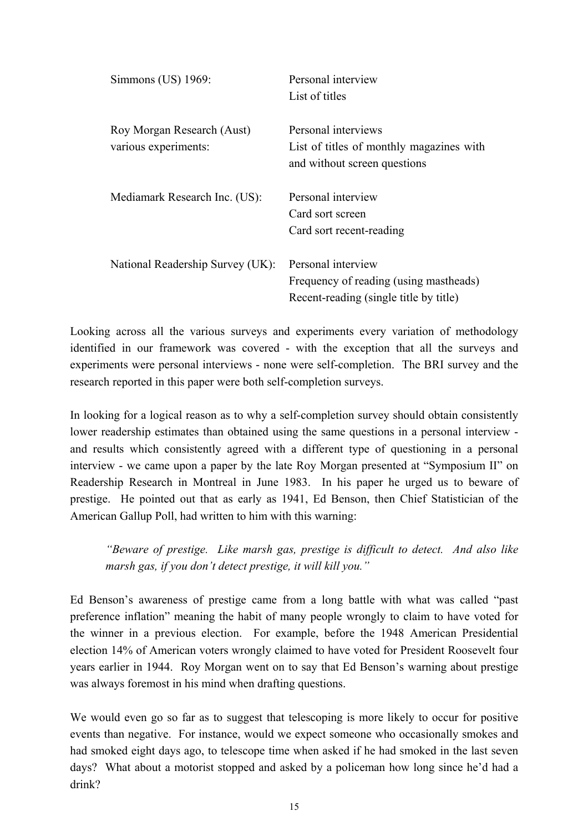| Simmons (US) 1969:                                 | Personal interview<br>List of titles                                                                   |
|----------------------------------------------------|--------------------------------------------------------------------------------------------------------|
| Roy Morgan Research (Aust)<br>various experiments: | Personal interviews<br>List of titles of monthly magazines with<br>and without screen questions        |
| Mediamark Research Inc. (US):                      | Personal interview<br>Card sort screen<br>Card sort recent-reading                                     |
| National Readership Survey (UK):                   | Personal interview<br>Frequency of reading (using mastheads)<br>Recent-reading (single title by title) |

Looking across all the various surveys and experiments every variation of methodology identified in our framework was covered - with the exception that all the surveys and experiments were personal interviews - none were self-completion. The BRI survey and the research reported in this paper were both self-completion surveys.

In looking for a logical reason as to why a self-completion survey should obtain consistently lower readership estimates than obtained using the same questions in a personal interview and results which consistently agreed with a different type of questioning in a personal interview - we came upon a paper by the late Roy Morgan presented at "Symposium II" on Readership Research in Montreal in June 1983. In his paper he urged us to beware of prestige. He pointed out that as early as 1941, Ed Benson, then Chief Statistician of the American Gallup Poll, had written to him with this warning:

*"Beware of prestige. Like marsh gas, prestige is difficult to detect. And also like marsh gas, if you don't detect prestige, it will kill you."* 

Ed Benson's awareness of prestige came from a long battle with what was called "past preference inflation" meaning the habit of many people wrongly to claim to have voted for the winner in a previous election. For example, before the 1948 American Presidential election 14% of American voters wrongly claimed to have voted for President Roosevelt four years earlier in 1944. Roy Morgan went on to say that Ed Benson's warning about prestige was always foremost in his mind when drafting questions.

We would even go so far as to suggest that telescoping is more likely to occur for positive events than negative. For instance, would we expect someone who occasionally smokes and had smoked eight days ago, to telescope time when asked if he had smoked in the last seven days? What about a motorist stopped and asked by a policeman how long since he'd had a drink?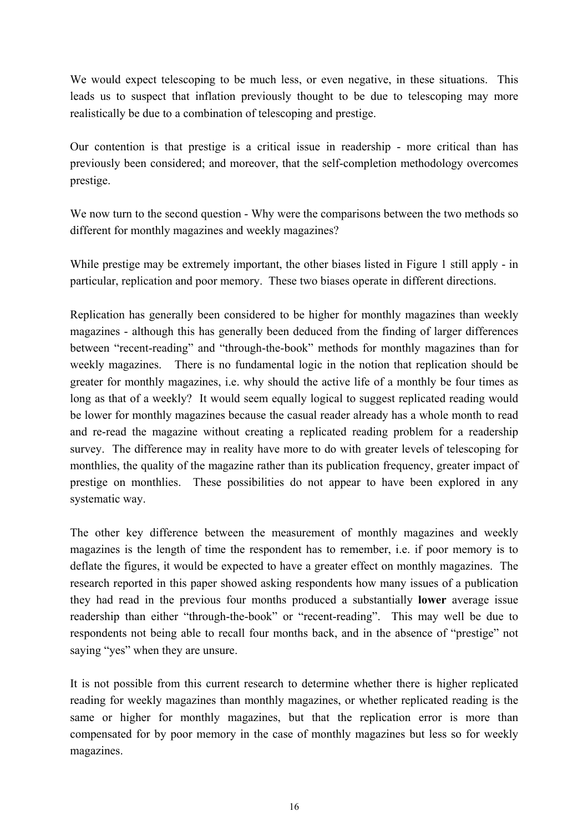We would expect telescoping to be much less, or even negative, in these situations. This leads us to suspect that inflation previously thought to be due to telescoping may more realistically be due to a combination of telescoping and prestige.

Our contention is that prestige is a critical issue in readership - more critical than has previously been considered; and moreover, that the self-completion methodology overcomes prestige.

We now turn to the second question - Why were the comparisons between the two methods so different for monthly magazines and weekly magazines?

While prestige may be extremely important, the other biases listed in Figure 1 still apply - in particular, replication and poor memory. These two biases operate in different directions.

Replication has generally been considered to be higher for monthly magazines than weekly magazines - although this has generally been deduced from the finding of larger differences between "recent-reading" and "through-the-book" methods for monthly magazines than for weekly magazines. There is no fundamental logic in the notion that replication should be greater for monthly magazines, i.e. why should the active life of a monthly be four times as long as that of a weekly? It would seem equally logical to suggest replicated reading would be lower for monthly magazines because the casual reader already has a whole month to read and re-read the magazine without creating a replicated reading problem for a readership survey. The difference may in reality have more to do with greater levels of telescoping for monthlies, the quality of the magazine rather than its publication frequency, greater impact of prestige on monthlies. These possibilities do not appear to have been explored in any systematic way.

The other key difference between the measurement of monthly magazines and weekly magazines is the length of time the respondent has to remember, i.e. if poor memory is to deflate the figures, it would be expected to have a greater effect on monthly magazines. The research reported in this paper showed asking respondents how many issues of a publication they had read in the previous four months produced a substantially **lower** average issue readership than either "through-the-book" or "recent-reading". This may well be due to respondents not being able to recall four months back, and in the absence of "prestige" not saying "yes" when they are unsure.

It is not possible from this current research to determine whether there is higher replicated reading for weekly magazines than monthly magazines, or whether replicated reading is the same or higher for monthly magazines, but that the replication error is more than compensated for by poor memory in the case of monthly magazines but less so for weekly magazines.